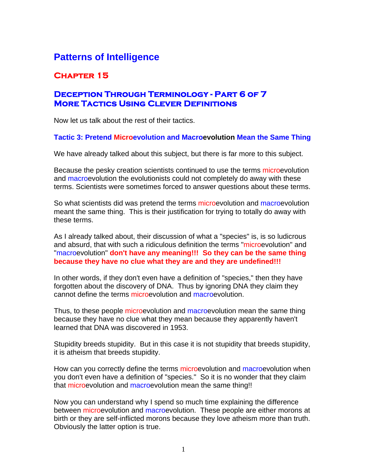# **Patterns of Intelligence**

## **Chapter 15**

## **Deception Through Terminology - Part 6 of 7 More Tactics Using Clever Definitions**

Now let us talk about the rest of their tactics.

#### **Tactic 3: Pretend Microevolution and Macroevolution Mean the Same Thing**

We have already talked about this subject, but there is far more to this subject.

Because the pesky creation scientists continued to use the terms microevolution and macroevolution the evolutionists could not completely do away with these terms. Scientists were sometimes forced to answer questions about these terms.

So what scientists did was pretend the terms microevolution and macroevolution meant the same thing. This is their justification for trying to totally do away with these terms.

As I already talked about, their discussion of what a "species" is, is so ludicrous and absurd, that with such a ridiculous definition the terms "microevolution" and "macroevolution" **don't have any meaning!!! So they can be the same thing because they have no clue what they are and they are undefined!!!**

In other words, if they don't even have a definition of "species," then they have forgotten about the discovery of DNA. Thus by ignoring DNA they claim they cannot define the terms microevolution and macroevolution.

Thus, to these people microevolution and macroevolution mean the same thing because they have no clue what they mean because they apparently haven't learned that DNA was discovered in 1953.

Stupidity breeds stupidity. But in this case it is not stupidity that breeds stupidity, it is atheism that breeds stupidity.

How can you correctly define the terms microevolution and macroevolution when you don't even have a definition of "species." So it is no wonder that they claim that microevolution and macroevolution mean the same thing!!

Now you can understand why I spend so much time explaining the difference between microevolution and macroevolution. These people are either morons at birth or they are self-inflicted morons because they love atheism more than truth. Obviously the latter option is true.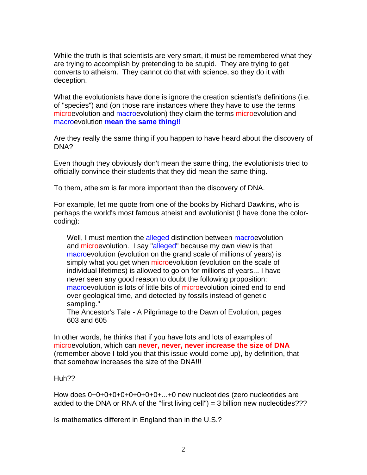While the truth is that scientists are very smart, it must be remembered what they are trying to accomplish by pretending to be stupid. They are trying to get converts to atheism. They cannot do that with science, so they do it with deception.

What the evolutionists have done is ignore the creation scientist's definitions (i.e. of "species") and (on those rare instances where they have to use the terms microevolution and macroevolution) they claim the terms microevolution and macroevolution **mean the same thing!!**

Are they really the same thing if you happen to have heard about the discovery of DNA?

Even though they obviously don't mean the same thing, the evolutionists tried to officially convince their students that they did mean the same thing.

To them, atheism is far more important than the discovery of DNA.

For example, let me quote from one of the books by Richard Dawkins, who is perhaps the world's most famous atheist and evolutionist (I have done the colorcoding):

Well, I must mention the alleged distinction between macroevolution and microevolution. I say "alleged" because my own view is that macroevolution (evolution on the grand scale of millions of years) is simply what you get when microevolution (evolution on the scale of individual lifetimes) is allowed to go on for millions of years... I have never seen any good reason to doubt the following proposition: macroevolution is lots of little bits of microevolution joined end to end over geological time, and detected by fossils instead of genetic sampling."

The Ancestor's Tale - A Pilgrimage to the Dawn of Evolution, pages 603 and 605

In other words, he thinks that if you have lots and lots of examples of microevolution, which can **never, never, never increase the size of DNA** (remember above I told you that this issue would come up), by definition, that that somehow increases the size of the DNA!!!

#### Huh??

How does 0+0+0+0+0+0+0+0+0+...+0 new nucleotides (zero nucleotides are added to the DNA or RNA of the "first living cell") = 3 billion new nucleotides???

Is mathematics different in England than in the U.S.?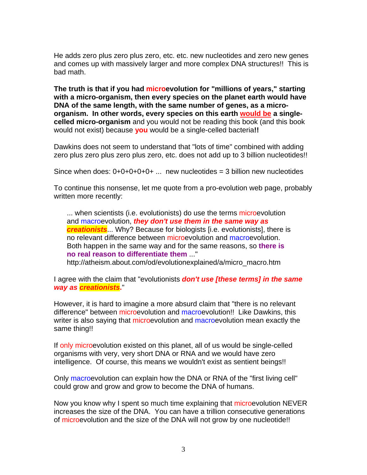He adds zero plus zero plus zero, etc. etc. new nucleotides and zero new genes and comes up with massively larger and more complex DNA structures!! This is bad math.

**The truth is that if you had microevolution for "millions of years," starting with a micro-organism, then every species on the planet earth would have DNA of the same length, with the same number of genes, as a microorganism. In other words, every species on this earth would be a singlecelled micro-organism** and you would not be reading this book (and this book would not exist) because **you** would be a single-celled bacteria**!!** 

Dawkins does not seem to understand that "lots of time" combined with adding zero plus zero plus zero plus zero, etc. does not add up to 3 billion nucleotides!!

Since when does:  $0+0+0+0+0+...$  new nucleotides = 3 billion new nucleotides

To continue this nonsense, let me quote from a pro-evolution web page, probably written more recently:

... when scientists (i.e. evolutionists) do use the terms microevolution and macroevolution, *they don't use them in the same way as creationists*... Why? Because for biologists [i.e. evolutionists], there is no relevant difference between microevolution and macroevolution. Both happen in the same way and for the same reasons, so **there is no real reason to differentiate them** ..." http://atheism.about.com/od/evolutionexplained/a/micro\_macro.htm

I agree with the claim that "evolutionists *don't use [these terms] in the same way as creationists***.**"

However, it is hard to imagine a more absurd claim that "there is no relevant difference" between microevolution and macroevolution!! Like Dawkins, this writer is also saying that microevolution and macroevolution mean exactly the same thing!!

If only microevolution existed on this planet, all of us would be single-celled organisms with very, very short DNA or RNA and we would have zero intelligence. Of course, this means we wouldn't exist as sentient beings!!

Only macroevolution can explain how the DNA or RNA of the "first living cell" could grow and grow and grow to become the DNA of humans.

Now you know why I spent so much time explaining that microevolution NEVER increases the size of the DNA. You can have a trillion consecutive generations of microevolution and the size of the DNA will not grow by one nucleotide!!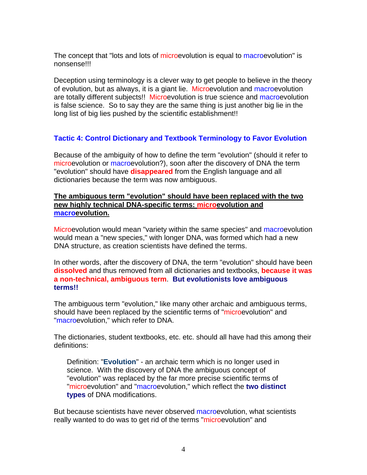The concept that "lots and lots of microevolution is equal to macroevolution" is nonsense!!!

Deception using terminology is a clever way to get people to believe in the theory of evolution, but as always, it is a giant lie. Microevolution and macroevolution are totally different subjects!! Microevolution is true science and macroevolution is false science. So to say they are the same thing is just another big lie in the long list of big lies pushed by the scientific establishment!!

## **Tactic 4: Control Dictionary and Textbook Terminology to Favor Evolution**

Because of the ambiguity of how to define the term "evolution" (should it refer to microevolution or macroevolution?), soon after the discovery of DNA the term "evolution" should have **disappeared** from the English language and all dictionaries because the term was now ambiguous.

#### **The ambiguous term "evolution" should have been replaced with the two new highly technical DNA-specific terms: microevolution and macroevolution.**

Microevolution would mean "variety within the same species" and macroevolution would mean a "new species," with longer DNA, was formed which had a new DNA structure, as creation scientists have defined the terms.

In other words, after the discovery of DNA, the term "evolution" should have been **dissolved** and thus removed from all dictionaries and textbooks, **because it was a non-technical, ambiguous term**. **But evolutionists love ambiguous terms!!**

The ambiguous term "evolution," like many other archaic and ambiguous terms, should have been replaced by the scientific terms of "microevolution" and "macroevolution," which refer to DNA.

The dictionaries, student textbooks, etc. etc. should all have had this among their definitions:

Definition: "**Evolution**" - an archaic term which is no longer used in science. With the discovery of DNA the ambiguous concept of "evolution" was replaced by the far more precise scientific terms of "microevolution" and "macroevolution," which reflect the **two distinct types** of DNA modifications.

But because scientists have never observed macroevolution, what scientists really wanted to do was to get rid of the terms "microevolution" and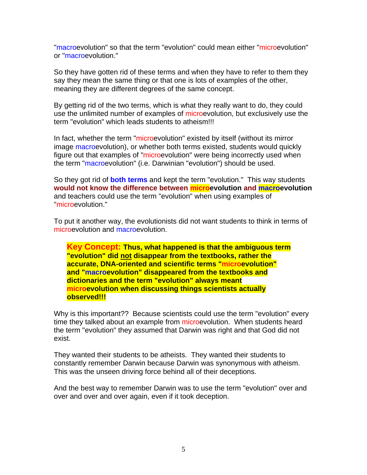"macroevolution" so that the term "evolution" could mean either "microevolution" or "macroevolution."

So they have gotten rid of these terms and when they have to refer to them they say they mean the same thing or that one is lots of examples of the other, meaning they are different degrees of the same concept.

By getting rid of the two terms, which is what they really want to do, they could use the unlimited number of examples of microevolution, but exclusively use the term "evolution" which leads students to atheism!!!

In fact, whether the term "microevolution" existed by itself (without its mirror image macroevolution), or whether both terms existed, students would quickly figure out that examples of "microevolution" were being incorrectly used when the term "macroevolution" (i.e. Darwinian "evolution") should be used.

So they got rid of **both terms** and kept the term "evolution." This way students **would not know the difference between microevolution and macroevolution** and teachers could use the term "evolution" when using examples of "microevolution."

To put it another way, the evolutionists did not want students to think in terms of microevolution and macroevolution.

**Key Concept: Thus, what happened is that the ambiguous term "evolution" did not disappear from the textbooks, rather the accurate, DNA-oriented and scientific terms "microevolution" and "macroevolution" disappeared from the textbooks and dictionaries and the term "evolution" always meant microevolution when discussing things scientists actually observed!!!** 

Why is this important?? Because scientists could use the term "evolution" every time they talked about an example from microevolution. When students heard the term "evolution" they assumed that Darwin was right and that God did not exist.

They wanted their students to be atheists. They wanted their students to constantly remember Darwin because Darwin was synonymous with atheism. This was the unseen driving force behind all of their deceptions.

And the best way to remember Darwin was to use the term "evolution" over and over and over and over again, even if it took deception.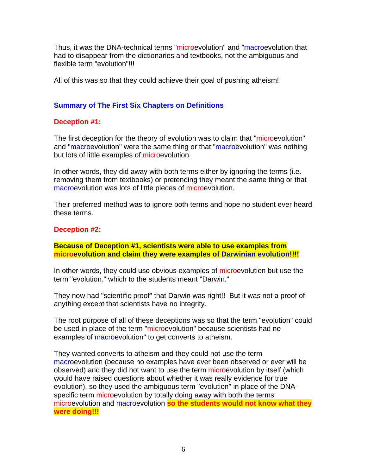Thus, it was the DNA-technical terms "microevolution" and "macroevolution that had to disappear from the dictionaries and textbooks, not the ambiguous and flexible term "evolution"!!!

All of this was so that they could achieve their goal of pushing atheism!!

### **Summary of The First Six Chapters on Definitions**

#### **Deception #1:**

The first deception for the theory of evolution was to claim that "microevolution" and "macroevolution" were the same thing or that "macroevolution" was nothing but lots of little examples of microevolution.

In other words, they did away with both terms either by ignoring the terms (i.e. removing them from textbooks) or pretending they meant the same thing or that macroevolution was lots of little pieces of microevolution.

Their preferred method was to ignore both terms and hope no student ever heard these terms.

#### **Deception #2:**

#### **Because of Deception #1, scientists were able to use examples from microevolution and claim they were examples of Darwinian evolution!!!!**

In other words, they could use obvious examples of microevolution but use the term "evolution." which to the students meant "Darwin."

They now had "scientific proof" that Darwin was right!! But it was not a proof of anything except that scientists have no integrity.

The root purpose of all of these deceptions was so that the term "evolution" could be used in place of the term "microevolution" because scientists had no examples of macroevolution" to get converts to atheism.

They wanted converts to atheism and they could not use the term macroevolution (because no examples have ever been observed or ever will be observed) and they did not want to use the term microevolution by itself (which would have raised questions about whether it was really evidence for true evolution), so they used the ambiguous term "evolution" in place of the DNAspecific term microevolution by totally doing away with both the terms microevolution and macroevolution **so the students would not know what they were doing!!!**